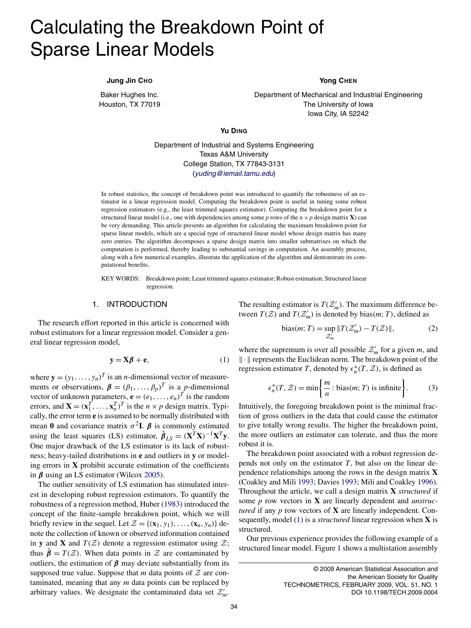# <span id="page-0-0"></span>Calculating the Breakdown Point of Sparse Linear Models

#### **Jung Jin CHO**

Baker Hughes Inc. Houston, TX 77019

#### **Yong CHEN**

Department of Mechanical and Industrial Engineering The University of Iowa Iowa City, IA 52242

**Yu DING**

Department of Industrial and Systems Engineering Texas A&M University College Station, TX 77843-3131 ([yuding@iemail.tamu.edu](mailto:yuding@iemail.tamu.edu))

In robust statistics, the concept of breakdown point was introduced to quantify the robustness of an estimator in a linear regression model. Computing the breakdown point is useful in tuning some robust regression estimators (e.g., the least trimmed squares estimator). Computing the breakdown point for a structured linear model (i.e., one with dependencies among some *p* rows of the  $n \times p$  design matrix **X**) can be very demanding. This article presents an algorithm for calculating the maximum breakdown point for sparse linear models, which are a special type of structured linear model whose design matrix has many zero entries. The algorithm decomposes a sparse design matrix into smaller submatrixes on which the computation is performed, thereby leading to substantial savings in computation. An assembly process, along with a few numerical examples, illustrate the application of the algorithm and demonstrate its computational benefits.

KEY WORDS: Breakdown point; Least trimmed squares estimator; Robust estimation; Structured linear regression.

## 1. INTRODUCTION

The research effort reported in this article is concerned with robust estimators for a linear regression model. Consider a general linear regression model,

$$
y = X\beta + e,\tag{1}
$$

where  $\mathbf{y} = (y_1, \dots, y_n)^T$  is an *n*-dimensional vector of measurements or observations,  $\boldsymbol{\beta} = (\beta_1, \dots, \beta_p)^T$  is a *p*-dimensional vector of unknown parameters,  $\mathbf{e} = (e_1, \ldots, e_n)^T$  is the random errors, and  $\mathbf{X} = (\mathbf{x}_1^T, \dots, \mathbf{x}_n^T)^T$  is the  $n \times p$  design matrix. Typically, the error term **e** is assumed to be normally distributed with mean **0** and covariance matrix  $\sigma^2$ **I**.  $\beta$  is commonly estimated using the least squares (LS) estimator,  $\hat{\boldsymbol{\beta}}_{LS} = (\mathbf{X}^T \mathbf{X})^{-1} \mathbf{X}^T \mathbf{y}$ . One major drawback of the LS estimator is its lack of robustness; heavy-tailed distributions in **e** and outliers in **y** or modeling errors in **X** prohibit accurate estimation of the coefficients in *β* using an LS estimator (Wilcox [2005\)](#page-12-0).

The outlier sensitivity of LS estimation has stimulated interest in developing robust regression estimators. To quantify the robustness of a regression method, Huber [\(1983\)](#page-12-0) introduced the concept of the finite-sample breakdown point, which we will briefly review in the sequel. Let  $\mathcal{Z} = \{(\mathbf{x}_1, y_1), \dots, (\mathbf{x}_n, y_n)\}\$ denote the collection of known or observed information contained in **y** and **X** and  $T(Z)$  denote a regression estimator using  $Z$ ; thus  $\hat{\beta} = T(\mathcal{Z})$ . When data points in  $\mathcal Z$  are contaminated by outliers, the estimation of  $\beta$  may deviate substantially from its supposed true value. Suppose that *m* data points of  $Z$  are contaminated, meaning that any *m* data points can be replaced by arbitrary values. We designate the contaminated data set  $\mathcal{Z}'_m$ . The resulting estimator is  $T(\mathcal{Z}'_m)$ . The maximum difference between  $T(Z)$  and  $T(Z'_m)$  is denoted by bias $(m; T)$ , defined as

bias(*m*; *T*) = 
$$
\sup_{\mathcal{Z}'_m} ||T(\mathcal{Z}'_m) - T(\mathcal{Z})||,
$$
 (2)

where the supremum is over all possible  $\mathcal{Z}'_m$  for a given *m*, and  $\|\cdot\|$  represents the Euclidean norm. The breakdown point of the regression estimator *T*, denoted by  $\epsilon_n^*(T, \mathcal{Z})$ , is defined as

$$
\epsilon_n^*(T, \mathcal{Z}) = \min\left\{\frac{m}{n} : \text{bias}(m; T) \text{ is infinite}\right\}.
$$
 (3)

Intuitively, the foregoing breakdown point is the minimal fraction of gross outliers in the data that could cause the estimator to give totally wrong results. The higher the breakdown point, the more outliers an estimator can tolerate, and thus the more robust it is.

The breakdown point associated with a robust regression depends not only on the estimator *T*, but also on the linear dependence relationships among the rows in the design matrix **X** (Coakley and Mili [1993;](#page-12-0) Davies [1993;](#page-12-0) Mili and Coakley [1996\)](#page-12-0). Throughout the article, we call a design matrix **X** *structured* if some *p* row vectors in **X** are linearly dependent and *unstructured* if any *p* row vectors of **X** are linearly independent. Consequently, model (1) is a *structured* linear regression when **X** is structured.

Our previous experience provides the following example of a structured linear model. Figure [1](#page-1-0) shows a multistation assembly

<sup>© 2009</sup> American Statistical Association and the American Society for Quality TECHNOMETRICS, FEBRUARY 2009, VOL. 51, NO. 1 DOI 10.1198/TECH.2009.0004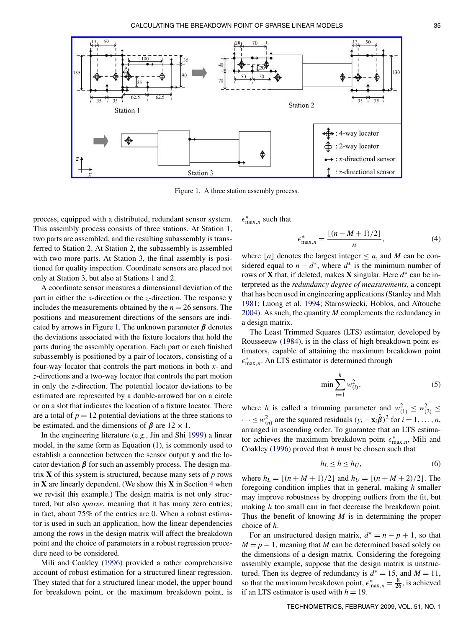<span id="page-1-0"></span>

Figure 1. A three station assembly process.

process, equipped with a distributed, redundant sensor system. This assembly process consists of three stations. At Station 1, two parts are assembled, and the resulting subassembly is transferred to Station 2. At Station 2, the subassembly is assembled with two more parts. At Station 3, the final assembly is positioned for quality inspection. Coordinate sensors are placed not only at Station 3, but also at Stations 1 and 2.

A coordinate sensor measures a dimensional deviation of the part in either the *x*-direction or the *z*-direction. The response **y** includes the measurements obtained by the  $n = 26$  sensors. The positions and measurement directions of the sensors are indicated by arrows in Figure 1. The unknown parameter *β* denotes the deviations associated with the fixture locators that hold the parts during the assembly operation. Each part or each finished subassembly is positioned by a pair of locators, consisting of a four-way locator that controls the part motions in both *x*- and *z*-directions and a two-way locator that controls the part motion in only the *z*-direction. The potential locator deviations to be estimated are represented by a double-arrowed bar on a circle or on a slot that indicates the location of a fixture locator. There are a total of  $p = 12$  potential deviations at the three stations to be estimated, and the dimensions of  $\beta$  are  $12 \times 1$ .

In the engineering literature (e.g., Jin and Shi [1999\)](#page-12-0) a linear model, in the same form as Equation [\(1\)](#page-0-0), is commonly used to establish a connection between the sensor output **y** and the locator deviation *β* for such an assembly process. The design matrix **X** of this system is structured, because many sets of *p* rows in **X** are linearly dependent. (We show this **X** in Section [4](#page-8-0) when we revisit this example.) The design matrix is not only structured, but also *sparse*, meaning that it has many zero entries; in fact, about 75% of the entries are 0. When a robust estimator is used in such an application, how the linear dependencies among the rows in the design matrix will affect the breakdown point and the choice of parameters in a robust regression procedure need to be considered.

Mili and Coakley [\(1996\)](#page-12-0) provided a rather comprehensive account of robust estimation for a structured linear regression. They stated that for a structured linear model, the upper bound for breakdown point, or the maximum breakdown point, is  $\epsilon_{\max,n}^*$  such that

$$
\epsilon_{\max,n}^{*} = \frac{\lfloor (n - M + 1)/2 \rfloor}{n},
$$
\n(4)

where  $[a]$  denotes the largest integer  $\leq a$ , and *M* can be considered equal to  $n - d^*$ , where  $d^*$  is the minimum number of rows of **X** that, if deleted, makes **X** singular. Here  $d^*$  can be interpreted as the *redundancy degree of measurements*, a concept that has been used in engineering applications (Stanley and Mah [1981;](#page-12-0) Luong et al. [1994;](#page-12-0) Staroswiecki, Hoblos, and Aïtouche [2004\)](#page-12-0). As such, the quantity *M* complements the redundancy in a design matrix.

The Least Trimmed Squares (LTS) estimator, developed by Rousseeuw [\(1984\)](#page-12-0), is in the class of high breakdown point estimators, capable of attaining the maximum breakdown point ∗ max*,n*. An LTS estimator is determined through

$$
\min \sum_{i=1}^{h} w_{(i)}^2, \tag{5}
$$

where *h* is called a trimming parameter and  $w_{(1)}^2 \leq w_{(2)}^2 \leq$  $\cdots \leq w_{(n)}^2$  are the squared residuals  $(y_i - \mathbf{x}_i \hat{\boldsymbol{\beta}})^2$  for  $i = 1, \ldots, n$ , arranged in ascending order. To guarantee that an LTS estimator achieves the maximum breakdown point  $\epsilon_{\max,n}^*$ , Mili and Coakley [\(1996\)](#page-12-0) proved that *h* must be chosen such that

$$
h_L \le h \le h_U,\tag{6}
$$

where  $h_L = \lfloor (n + M + 1)/2 \rfloor$  and  $h_U = \lfloor (n + M + 2)/2 \rfloor$ . The foregoing condition implies that in general, making *h* smaller may improve robustness by dropping outliers from the fit, but making *h* too small can in fact decrease the breakdown point. Thus the benefit of knowing *M* is in determining the proper choice of *h*.

For an unstructured design matrix,  $d^* = n - p + 1$ , so that  $M = p - 1$ , meaning that *M* can be determined based solely on the dimensions of a design matrix. Considering the foregoing assembly example, suppose that the design matrix is unstructured. Then its degree of redundancy is  $d^* = 15$ , and  $M = 11$ , so that the maximum breakdown point,  $\epsilon_{\max,n}^* = \frac{8}{26}$ , is achieved if an LTS estimator is used with  $h = 19$ .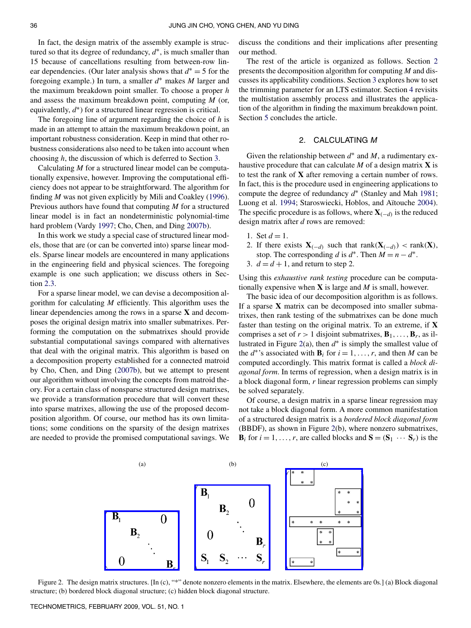<span id="page-2-0"></span>In fact, the design matrix of the assembly example is structured so that its degree of redundancy, *d*∗, is much smaller than 15 because of cancellations resulting from between-row linear dependencies. (Our later analysis shows that *d*<sup>∗</sup> = 5 for the foregoing example.) In turn, a smaller *d*<sup>∗</sup> makes *M* larger and the maximum breakdown point smaller. To choose a proper *h* and assess the maximum breakdown point, computing *M* (or, equivalently,  $d^*$ ) for a structured linear regression is critical.

The foregoing line of argument regarding the choice of *h* is made in an attempt to attain the maximum breakdown point, an important robustness consideration. Keep in mind that other robustness considerations also need to be taken into account when choosing *h*, the discussion of which is deferred to Section [3.](#page-7-0)

Calculating *M* for a structured linear model can be computationally expensive, however. Improving the computational efficiency does not appear to be straightforward. The algorithm for finding *M* was not given explicitly by Mili and Coakley [\(1996\)](#page-12-0). Previous authors have found that computing *M* for a structured linear model is in fact an nondeterministic polynomial-time hard problem (Vardy [1997;](#page-12-0) Cho, Chen, and Ding [2007b\)](#page-12-0).

In this work we study a special case of structured linear models, those that are (or can be converted into) sparse linear models. Sparse linear models are encountered in many applications in the engineering field and physical sciences. The foregoing example is one such application; we discuss others in Section [2.3.](#page-6-0)

For a sparse linear model, we can devise a decomposition algorithm for calculating *M* efficiently. This algorithm uses the linear dependencies among the rows in a sparse **X** and decomposes the original design matrix into smaller submatrixes. Performing the computation on the submatrixes should provide substantial computational savings compared with alternatives that deal with the original matrix. This algorithm is based on a decomposition property established for a connected matroid by Cho, Chen, and Ding [\(2007b\)](#page-12-0), but we attempt to present our algorithm without involving the concepts from matroid theory. For a certain class of nonsparse structured design matrixes, we provide a transformation procedure that will convert these into sparse matrixes, allowing the use of the proposed decomposition algorithm. Of course, our method has its own limitations; some conditions on the sparsity of the design matrixes are needed to provide the promised computational savings. We discuss the conditions and their implications after presenting our method.

The rest of the article is organized as follows. Section 2 presents the decomposition algorithm for computing *M* and discusses its applicability conditions. Section [3](#page-7-0) explores how to set the trimming parameter for an LTS estimator. Section [4](#page-8-0) revisits the multistation assembly process and illustrates the application of the algorithm in finding the maximum breakdown point. Section [5](#page-11-0) concludes the article.

## 2. CALCULATING M

Given the relationship between *d*<sup>∗</sup> and *M*, a rudimentary exhaustive procedure that can calculate *M* of a design matrix **X** is to test the rank of **X** after removing a certain number of rows. In fact, this is the procedure used in engineering applications to compute the degree of redundancy *d*<sup>∗</sup> (Stanley and Mah [1981;](#page-12-0) Luong et al. [1994;](#page-12-0) Staroswiecki, Hoblos, and Aïtouche [2004\)](#page-12-0). The specific procedure is as follows, where  $\mathbf{X}_{(-d)}$  is the reduced design matrix after *d* rows are removed:

- 1. Set  $d = 1$ .
- 2. If there exists  $\mathbf{X}_{(-d)}$  such that rank $(\mathbf{X}_{(-d)})$  < rank $(\mathbf{X})$ , stop. The corresponding *d* is  $d^*$ . Then  $M = n - d^*$ .
- 3.  $d = d + 1$ , and return to step 2.

Using this *exhaustive rank testing* procedure can be computationally expensive when **X** is large and *M* is small, however.

The basic idea of our decomposition algorithm is as follows. If a sparse **X** matrix can be decomposed into smaller submatrixes, then rank testing of the submatrixes can be done much faster than testing on the original matrix. To an extreme, if **X** comprises a set of  $r > 1$  disjoint submatrixes,  $\mathbf{B}_1, \ldots, \mathbf{B}_r$ , as illustrated in Figure 2(a), then *d*<sup>∗</sup> is simply the smallest value of the  $d^*$ 's associated with  $\mathbf{B}_i$  for  $i = 1, \ldots, r$ , and then *M* can be computed accordingly. This matrix format is called a *block diagonal form*. In terms of regression, when a design matrix is in a block diagonal form, *r* linear regression problems can simply be solved separately.

Of course, a design matrix in a sparse linear regression may not take a block diagonal form. A more common manifestation of a structured design matrix is a *bordered block diagonal form* (BBDF), as shown in Figure 2(b), where nonzero submatrixes, **B**<sub>*i*</sub> for  $i = 1, ..., r$ , are called blocks and  $\mathbf{S} = (\mathbf{S}_1 \cdots \mathbf{S}_r)$  is the



Figure 2. The design matrix structures. [In (c), "\*" denote nonzero elements in the matrix. Elsewhere, the elements are 0s.] (a) Block diagonal structure; (b) bordered block diagonal structure; (c) hidden block diagonal structure.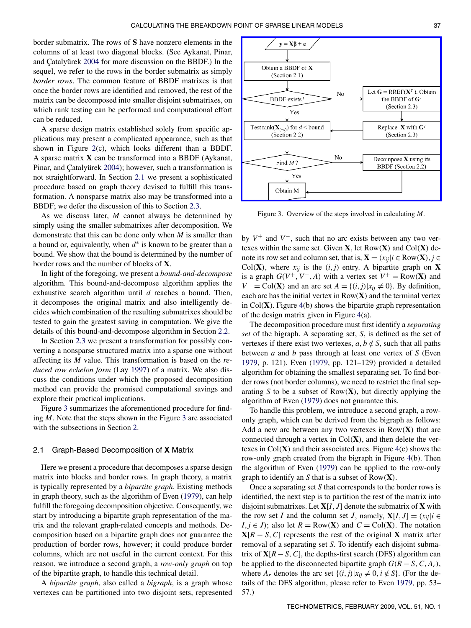<span id="page-3-0"></span>border submatrix. The rows of **S** have nonzero elements in the columns of at least two diagonal blocks. (See Aykanat, Pinar, and Çatalyürek [2004](#page-12-0) for more discussion on the BBDF.) In the sequel, we refer to the rows in the border submatrix as simply *border rows*. The common feature of BBDF matrixes is that once the border rows are identified and removed, the rest of the matrix can be decomposed into smaller disjoint submatrixes, on which rank testing can be performed and computational effort can be reduced.

A sparse design matrix established solely from specific applications may present a complicated appearance, such as that shown in Figure [2\(](#page-2-0)c), which looks different than a BBDF. A sparse matrix **X** can be transformed into a BBDF (Aykanat, Pinar, and Çatalyürek [2004\)](#page-12-0); however, such a transformation is not straightforward. In Section 2.1 we present a sophisticated procedure based on graph theory devised to fulfill this transformation. A nonsparse matrix also may be transformed into a BBDF; we defer the discussion of this to Section [2.3.](#page-6-0)

As we discuss later, *M* cannot always be determined by simply using the smaller submatrixes after decomposition. We demonstrate that this can be done only when *M* is smaller than a bound or, equivalently, when *d*<sup>∗</sup> is known to be greater than a bound. We show that the bound is determined by the number of border rows and the number of blocks of **X**.

In light of the foregoing, we present a *bound-and-decompose* algorithm. This bound-and-decompose algorithm applies the exhaustive search algorithm until *d* reaches a bound. Then, it decomposes the original matrix and also intelligently decides which combination of the resulting submatrixes should be tested to gain the greatest saving in computation. We give the details of this bound-and-decompose algorithm in Section [2.2.](#page-5-0)

In Section [2.3](#page-6-0) we present a transformation for possibly converting a nonsparse structured matrix into a sparse one without affecting its *M* value. This transformation is based on the *reduced row echelon form* (Lay [1997\)](#page-12-0) of a matrix. We also discuss the conditions under which the proposed decomposition method can provide the promised computational savings and explore their practical implications.

Figure 3 summarizes the aforementioned procedure for finding *M*. Note that the steps shown in the Figure 3 are associated with the subsections in Section [2.](#page-2-0)

## 2.1 Graph-Based Decomposition of **X** Matrix

Here we present a procedure that decomposes a sparse design matrix into blocks and border rows. In graph theory, a matrix is typically represented by a *bipartite graph*. Existing methods in graph theory, such as the algorithm of Even [\(1979\)](#page-12-0), can help fulfill the foregoing decomposition objective. Consequently, we start by introducing a bipartite graph representation of the matrix and the relevant graph-related concepts and methods. Decomposition based on a bipartite graph does not guarantee the production of border rows, however; it could produce border columns, which are not useful in the current context. For this reason, we introduce a second graph, a *row-only graph* on top of the bipartite graph, to handle this technical detail.

A *bipartite graph*, also called a *bigraph*, is a graph whose vertexes can be partitioned into two disjoint sets, represented



Figure 3. Overview of the steps involved in calculating *M*.

by *V*<sup>+</sup> and *V*−, such that no arc exists between any two vertexes within the same set. Given **X**, let Row*(***X***)* and Col*(***X***)* denote its row set and column set, that is,  $\mathbf{X} = (x_{ii} | i \in Row(\mathbf{X}), j \in$ Col(**X**), where  $x_{ii}$  is the  $(i, j)$  entry. A bipartite graph on **X** is a graph  $G(V^+, V^-, A)$  with a vertex set  $V^+ = Row(X)$  and *V*<sup>−</sup> = Col(**X**) and an arc set *A* = {*(i, j*)| $x_{ij}$  ≠ 0}. By definition, each arc has the initial vertex in Row(**X***)* and the terminal vertex in Col(**X**). Figure [4\(](#page-4-0)b) shows the bipartite graph representation of the design matrix given in Figure [4\(](#page-4-0)a).

The decomposition procedure must first identify a *separating set* of the bigraph. A separating set, *S*, is defined as the set of vertexes if there exist two vertexes,  $a, b \notin S$ , such that all paths between *a* and *b* pass through at least one vertex of *S* (Even [1979,](#page-12-0) p. 121). Even [\(1979,](#page-12-0) pp. 121–129) provided a detailed algorithm for obtaining the smallest separating set. To find border rows (not border columns), we need to restrict the final separating *S* to be a subset of Row*(***X***)*, but directly applying the algorithm of Even [\(1979\)](#page-12-0) does not guarantee this.

To handle this problem, we introduce a second graph, a rowonly graph, which can be derived from the bigraph as follows: Add a new arc between any two vertexes in Row*(***X***)* that are connected through a vertex in Col*(***X***)*, and then delete the vertexes in  $Col(X)$  and their associated arcs. Figure  $4(c)$  $4(c)$  shows the row-only graph created from the bigraph in Figure [4\(](#page-4-0)b). Then the algorithm of Even [\(1979\)](#page-12-0) can be applied to the row-only graph to identify an *S* that is a subset of Row*(***X***)*.

Once a separating set *S* that corresponds to the border rows is identified, the next step is to partition the rest of the matrix into disjoint submatrixes. Let **X**[*I, J*] denote the submatrix of **X** with the row set *I* and the column set *J*, namely,  $X[I, J] = (x_{ii} | i \in$ *I,j* ∈ *J*); also let *R* = Row(**X**) and *C* = Col(**X**). The notation  $X[R - S, C]$  represents the rest of the original **X** matrix after removal of a separating set *S*. To identify each disjoint submatrix of  $X[R - S, C]$ , the depths-first search (DFS) algorithm can be applied to the disconnected bipartite graph  $G(R - S, C, A_r)$ , where  $A_r$  denotes the arc set  $\{(i,j)|x_{ii} \neq 0, i \notin S\}$ . (For the details of the DFS algorithm, please refer to Even [1979,](#page-12-0) pp. 53– 57.)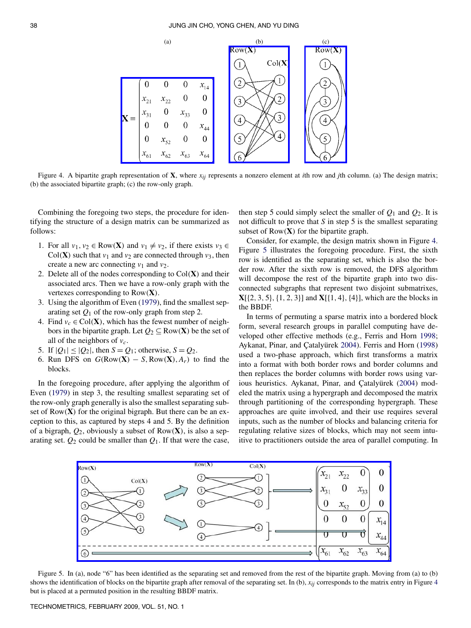<span id="page-4-0"></span>

Figure 4. A bipartite graph representation of **X**, where  $x_{ij}$  represents a nonzero element at *i*th row and *j*th column. (a) The design matrix; (b) the associated bipartite graph; (c) the row-only graph.

Combining the foregoing two steps, the procedure for identifying the structure of a design matrix can be summarized as follows:

- 1. For all  $v_1, v_2 \in Row(X)$  and  $v_1 \neq v_2$ , if there exists  $v_3 \in$ Col(**X**) such that  $v_1$  and  $v_2$  are connected through  $v_3$ , then create a new arc connecting  $v_1$  and  $v_2$ .
- 2. Delete all of the nodes corresponding to Col*(***X***)* and their associated arcs. Then we have a row-only graph with the vertexes corresponding to Row*(***X***)*.
- 3. Using the algorithm of Even [\(1979\)](#page-12-0), find the smallest separating set  $Q_1$  of the row-only graph from step 2.
- 4. Find  $v_c \in Col(X)$ , which has the fewest number of neighbors in the bipartite graph. Let  $Q_2 \subseteq Row(X)$  be the set of all of the neighbors of  $v_c$ .
- 5. If  $|Q_1| \leq |Q_2|$ , then  $S = Q_1$ ; otherwise,  $S = Q_2$ .
- 6. Run DFS on  $G(\text{Row}(\mathbf{X}) S, \text{Row}(\mathbf{X}), A_r)$  to find the blocks.

In the foregoing procedure, after applying the algorithm of Even [\(1979\)](#page-12-0) in step 3, the resulting smallest separating set of the row-only graph generally is also the smallest separating subset of Row*(***X***)* for the original bigraph. But there can be an exception to this, as captured by steps 4 and 5. By the definition of a bigraph, *Q*2, obviously a subset of Row*(***X***)*, is also a separating set.  $Q_2$  could be smaller than  $Q_1$ . If that were the case,

then step 5 could simply select the smaller of  $Q_1$  and  $Q_2$ . It is not difficult to prove that *S* in step 5 is the smallest separating subset of Row*(***X***)* for the bipartite graph.

Consider, for example, the design matrix shown in Figure 4. Figure 5 illustrates the foregoing procedure. First, the sixth row is identified as the separating set, which is also the border row. After the sixth row is removed, the DFS algorithm will decompose the rest of the bipartite graph into two disconnected subgraphs that represent two disjoint submatrixes, **X**[{2*,* 3*,* 5}*,*{1*,* 2*,* 3}] and **X**[{1*,* 4}*,*{4}], which are the blocks in the BBDF.

In terms of permuting a sparse matrix into a bordered block form, several research groups in parallel computing have developed other effective methods (e.g., Ferris and Horn [1998;](#page-12-0) Aykanat, Pinar, and Çatalyürek [2004\)](#page-12-0). Ferris and Horn [\(1998\)](#page-12-0) used a two-phase approach, which first transforms a matrix into a format with both border rows and border columns and then replaces the border columns with border rows using various heuristics. Aykanat, Pinar, and Çatalyürek [\(2004\)](#page-12-0) modeled the matrix using a hypergraph and decomposed the matrix through partitioning of the corresponding hypergraph. These approaches are quite involved, and their use requires several inputs, such as the number of blocks and balancing criteria for regulating relative sizes of blocks, which may not seem intuitive to practitioners outside the area of parallel computing. In



Figure 5. In (a), node "6" has been identified as the separating set and removed from the rest of the bipartite graph. Moving from (a) to (b) shows the identification of blocks on the bipartite graph after removal of the separating set. In (b),  $x_{ij}$  corresponds to the matrix entry in Figure 4 but is placed at a permuted position in the resulting BBDF matrix.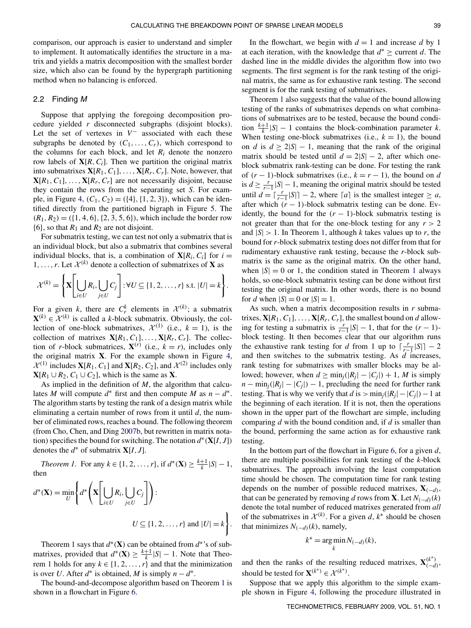<span id="page-5-0"></span>comparison, our approach is easier to understand and simpler to implement. It automatically identifies the structure in a matrix and yields a matrix decomposition with the smallest border size, which also can be found by the hypergraph partitioning method when no balancing is enforced.

#### 2.2 Finding M

Suppose that applying the foregoing decomposition procedure yielded *r* disconnected subgraphs (disjoint blocks). Let the set of vertexes in *V*<sup>−</sup> associated with each these subgraphs be denoted by  $(C_1, \ldots, C_r)$ , which correspond to the columns for each block, and let  $R_i$  denote the nonzero row labels of  $X[R, C_i]$ . Then we partition the original matrix into submatrixes  $X[R_1, C_1], \ldots, X[R_r, C_r]$ . Note, however, that  $\mathbf{X}[R_1, C_1], \ldots, \mathbf{X}[R_r, C_r]$  are not necessarily disjoint, because they contain the rows from the separating set *S*. For exam-ple, in Figure [4,](#page-4-0)  $(C_1, C_2) = (\{4\}, \{1, 2, 3\})$ , which can be identified directly from the partitioned bigraph in Figure [5.](#page-4-0) The  $(R_1, R_2) = (\{1, 4, 6\}, \{2, 3, 5, 6\})$ , which include the border row  $\{6\}$ , so that  $R_1$  and  $R_2$  are not disjoint.

For submatrix testing, we can test not only a submatrix that is an individual block, but also a submatrix that combines several individual blocks, that is, a combination of  $X[R_i, C_i]$  for  $i =$ 1, ..., *r*. Let  $\mathcal{X}^{(k)}$  denote a collection of submatrixes of **X** as

$$
\mathcal{X}^{(k)} = \left\{ \mathbf{X} \left[ \bigcup_{i \in U} R_i, \bigcup_{j \in U} C_j \right] : \forall U \subseteq \{1, 2, \dots, r\} \text{ s.t. } |U| = k \right\}.
$$

For a given *k*, there are  $C_r^k$  elements in  $\mathcal{X}^{(k)}$ ; a submatrix  $\mathbf{X}^{(k)} \in \mathcal{X}^{(k)}$  is called a *k*-block submatrix. Obviously, the collection of one-block submatrixes,  $\mathcal{X}^{(1)}$  (i.e.,  $k = 1$ ), is the collection of matrixes  $\mathbf{X}[R_1, C_1], \ldots, \mathbf{X}[R_r, C_r]$ . The collection of *r*-block submatrices,  $X^{(r)}$  (i.e.,  $k = r$ ), includes only the original matrix **X**. For the example shown in Figure [4,](#page-4-0)  $\mathcal{X}^{(1)}$  includes  $\mathbf{X}[R_1, C_1]$  and  $\mathbf{X}[R_2, C_2]$ , and  $\mathcal{X}^{(2)}$  includes only  $\mathbf{X}[R_1 \cup R_2, C_1 \cup C_2]$ , which is the same as **X**.

As implied in the definition of *M*, the algorithm that calculates *M* will compute  $d^*$  first and then compute *M* as  $n - d^*$ . The algorithm starts by testing the rank of a design matrix while eliminating a certain number of rows from it until *d*, the number of eliminated rows, reaches a bound. The following theorem (from Cho, Chen, and Ding [2007b,](#page-12-0) but rewritten in matrix notation) specifies the bound for switching. The notation  $d^*(\mathbf{X}[I, J])$ denotes the  $d^*$  of submatrix  $X[I, J]$ .

*Theorem 1.* For any  $k \in \{1, 2, ..., r\}$ , if  $d^*(\mathbf{X}) \ge \frac{k+1}{k} |S| - 1$ , then

$$
d^*(\mathbf{X}) = \min_{U} \left\{ d^*\left(\mathbf{X} \left[\bigcup_{i \in U} R_i, \bigcup_{j \in U} C_j \right]\right) : \right\}
$$
  

$$
U \subseteq \{1, 2, \dots, r\} \text{ and } |U| = k \right\}.
$$

Theorem 1 says that  $d^*(\mathbf{X})$  can be obtained from  $d^*$ 's of submatrixes, provided that  $d^*(\mathbf{X}) \geq \frac{k+1}{k} |S| - 1$ . Note that Theorem 1 holds for any  $k \in \{1, 2, ..., r\}$  and that the minimization is over *U*. After  $d^*$  is obtained, *M* is simply  $n - d^*$ .

The bound-and-decompose algorithm based on Theorem 1 is shown in a flowchart in Figure [6.](#page-6-0)

In the flowchart, we begin with  $d = 1$  and increase  $d$  by 1 at each iteration, with the knowledge that  $d^* \geq$  current *d*. The dashed line in the middle divides the algorithm flow into two segments. The first segment is for the rank testing of the original matrix, the same as for exhaustive rank testing. The second segment is for the rank testing of submatrixes.

Theorem 1 also suggests that the value of the bound allowing testing of the ranks of submatrixes depends on what combinations of submatrixes are to be tested, because the bound condition  $\frac{k+1}{k} |S| - 1$  contains the block-combination parameter *k*. When testing one-block submatrixes (i.e.,  $k = 1$ ), the bound on *d* is  $d \ge 2|S| - 1$ , meaning that the rank of the original matrix should be tested until  $d = 2|S| - 2$ , after which oneblock submatrix rank-testing can be done. For testing the rank of  $(r - 1)$ -block submatrixes (i.e.,  $k = r - 1$ ), the bound on *d* is  $d \geq \frac{r}{r-1} |S| - 1$ , meaning the original matrix should be tested until  $d = \lceil \frac{r}{r-1} |S| \rceil - 2$ , where  $\lceil a \rceil$  is the smallest integer  $\ge a$ , after which  $(r - 1)$ -block submatrix testing can be done. Evidently, the bound for the  $(r - 1)$ -block submatrix testing is not greater than that for the one-block testing for any  $r > 2$ and  $|S| > 1$ . In Theorem 1, although *k* takes values up to *r*, the bound for *r*-block submatrix testing does not differ from that for rudimentary exhaustive rank testing, because the *r*-block submatrix is the same as the original matrix. On the other hand, when  $|S| = 0$  or 1, the condition stated in Theorem 1 always holds, so one-block submatrix testing can be done without first testing the original matrix. In other words, there is no bound for *d* when  $|S| = 0$  or  $|S| = 1$ .

As such, when a matrix decomposition results in *r* submatrixes,  $\mathbf{X}[R_1, C_1], \ldots, \mathbf{X}[R_r, C_r]$ , the smallest bound on *d* allowing for testing a submatrix is  $\frac{r}{r-1} |S| - 1$ , that for the  $(r - 1)$ block testing. It then becomes clear that our algorithm runs the exhaustive rank testing for *d* from 1 up to  $\lceil \frac{r}{r-1} |S| \rceil - 2$ and then switches to the submatrix testing. As *d* increases, rank testing for submatrixes with smaller blocks may be allowed; however, when  $d \ge \min_j(|R_j| - |C_j|) + 1$ , *M* is simply  $n - \min_i(|R_i| - |C_i|) - 1$ , precluding the need for further rank testing. That is why we verify that *d* is  $> min<sub>i</sub>(|R<sub>i</sub>| - |C<sub>i</sub>|) - 1$  at the beginning of each iteration. If it is not, then the operations shown in the upper part of the flowchart are simple, including comparing *d* with the bound condition and, if *d* is smaller than the bound, performing the same action as for exhaustive rank testing.

In the bottom part of the flowchart in Figure [6,](#page-6-0) for a given *d*, there are multiple possibilities for rank testing of the *k*-block submatrixes. The approach involving the least computation time should be chosen. The computation time for rank testing depends on the number of possible reduced matrixes,  $X_{(-d)}$ , that can be generated by removing *d* rows from **X**. Let  $N_{(-d)}(k)$ denote the total number of reduced matrixes generated from *all* of the submatrixes in  $\mathcal{X}^{(k)}$ . For a given *d*,  $k^*$  should be chosen that minimizes  $N_{(-d)}(k)$ , namely,

$$
k^* = \underset{k}{\arg\min} N_{(-d)}(k),
$$

and then the ranks of the resulting reduced matrixes,  $\mathbf{X}^{(k^*)}_{(-d)}$ , should be tested for  $\mathbf{X}^{(k^*)} \in \mathcal{X}^{(k^*)}$ .

Suppose that we apply this algorithm to the simple example shown in Figure [4,](#page-4-0) following the procedure illustrated in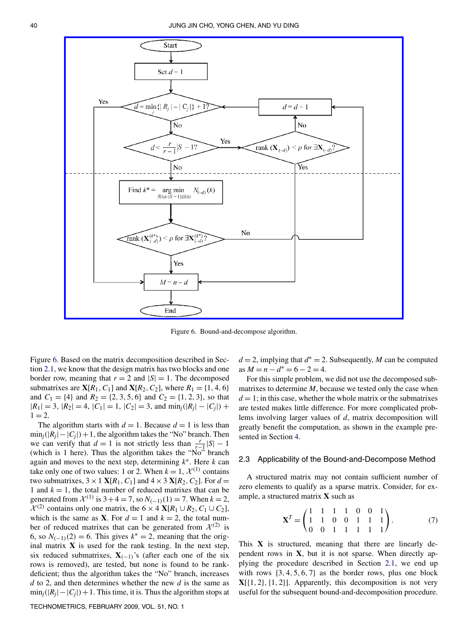<span id="page-6-0"></span>

Figure 6. Bound-and-decompose algorithm.

Figure 6. Based on the matrix decomposition described in Section [2.1,](#page-3-0) we know that the design matrix has two blocks and one border row, meaning that  $r = 2$  and  $|S| = 1$ . The decomposed submatrixes are **X**[ $R_1$ ,  $C_1$ ] and **X**[ $R_2$ ,  $C_2$ ], where  $R_1 = \{1, 4, 6\}$ and  $C_1 = \{4\}$  and  $R_2 = \{2, 3, 5, 6\}$  and  $C_2 = \{1, 2, 3\}$ , so that  $|R_1| = 3$ ,  $|R_2| = 4$ ,  $|C_1| = 1$ ,  $|C_2| = 3$ , and  $\min_j(|R_j| - |C_j|)$  +  $1 = 2.$ 

The algorithm starts with  $d = 1$ . Because  $d = 1$  is less than  $\min_j(|R_j| - |C_j|) + 1$ , the algorithm takes the "No" branch. Then we can verify that  $d = 1$  is not strictly less than  $\frac{r}{r-1} |S| - 1$ (which is 1 here). Thus the algorithm takes the "No" branch again and moves to the next step, determining *k*∗. Here *k* can take only one of two values: 1 or 2. When  $k = 1$ ,  $\mathcal{X}^{(1)}$  contains two submatrixes,  $3 \times 1$  **X**[ $R_1$ ,  $C_1$ ] and  $4 \times 3$  **X**[ $R_2$ ,  $C_2$ ]. For  $d =$ 1 and  $k = 1$ , the total number of reduced matrixes that can be generated from  $\mathcal{X}^{(1)}$  is  $3+4=7$ , so  $N_{(-1)}(1)=7$ . When  $k=2$ ,  $\mathcal{X}^{(2)}$  contains only one matrix, the 6 × 4  $\mathbf{X}[R_1 \cup R_2, C_1 \cup C_2]$ , which is the same as **X**. For  $d = 1$  and  $k = 2$ , the total number of reduced matrixes that can be generated from  $\mathcal{X}^{(2)}$  is 6, so  $N_{(-1)}(2) = 6$ . This gives  $k^* = 2$ , meaning that the original matrix **X** is used for the rank testing. In the next step, six reduced submatrixes,  $X_{(-1)}$ 's (after each one of the six rows is removed), are tested, but none is found to be rankdeficient; thus the algorithm takes the "No" branch, increases *d* to 2, and then determines whether the new *d* is the same as  $\min_i(|R_i| - |C_i|) + 1$ . This time, it is. Thus the algorithm stops at

 $d = 2$ , implying that  $d^* = 2$ . Subsequently, *M* can be computed  $\text{as } M = n - d^* = 6 - 2 = 4.$ 

For this simple problem, we did not use the decomposed submatrixes to determine *M*, because we tested only the case when  $d = 1$ ; in this case, whether the whole matrix or the submatrixes are tested makes little difference. For more complicated problems involving larger values of *d*, matrix decomposition will greatly benefit the computation, as shown in the example presented in Section [4.](#page-8-0)

# 2.3 Applicability of the Bound-and-Decompose Method

A structured matrix may not contain sufficient number of zero elements to qualify as a sparse matrix. Consider, for example, a structured matrix **X** such as

$$
\mathbf{X}^T = \begin{pmatrix} 1 & 1 & 1 & 1 & 0 & 0 & 1 \\ 1 & 1 & 0 & 0 & 1 & 1 & 1 \\ 0 & 0 & 1 & 1 & 1 & 1 & 1 \end{pmatrix}.
$$
 (7)

This  $X$  is structured, meaning that there are linearly dependent rows in **X**, but it is not sparse. When directly applying the procedure described in Section [2.1,](#page-3-0) we end up with rows  $\{3, 4, 5, 6, 7\}$  as the border rows, plus one block  $X[\{1, 2\}, \{1, 2\}]$ . Apparently, this decomposition is not very useful for the subsequent bound-and-decomposition procedure.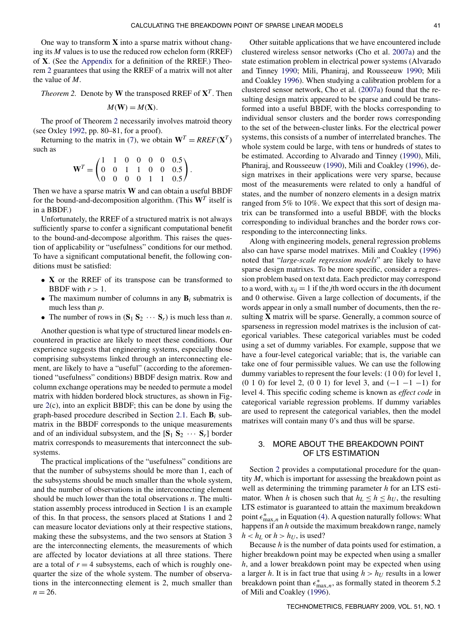<span id="page-7-0"></span>One way to transform **X** into a sparse matrix without changing its *M* values is to use the reduced row echelon form (RREF) of **X**. (See the [Appendix](#page-11-0) for a definition of the RREF.) Theorem 2 guarantees that using the RREF of a matrix will not alter the value of *M*.

*Theorem 2.* Denote by **W** the transposed RREF of  $X<sup>T</sup>$ . Then

$$
M(\mathbf{W}) = M(\mathbf{X}).
$$

The proof of Theorem 2 necessarily involves matroid theory (see Oxley [1992,](#page-12-0) pp. 80–81, for a proof).

Returning to the matrix in [\(7\)](#page-6-0), we obtain  $W^T = RREF(X^T)$ such as

$$
\mathbf{W}^T = \begin{pmatrix} 1 & 1 & 0 & 0 & 0 & 0 & 0.5 \\ 0 & 0 & 1 & 1 & 0 & 0 & 0.5 \\ 0 & 0 & 0 & 0 & 1 & 1 & 0.5 \end{pmatrix}.
$$

Then we have a sparse matrix **W** and can obtain a useful BBDF for the bound-and-decomposition algorithm. (This  $W<sup>T</sup>$  itself is in a BBDF.)

Unfortunately, the RREF of a structured matrix is not always sufficiently sparse to confer a significant computational benefit to the bound-and-decompose algorithm. This raises the question of applicability or "usefulness" conditions for our method. To have a significant computational benefit, the following conditions must be satisfied:

- **X** or the RREF of its transpose can be transformed to BBDF with  $r > 1$ .
- The maximum number of columns in any  $\mathbf{B}_i$  submatrix is much less than *p*.
- The number of rows in  $({\bf S}_1 {\bf S}_2 \cdots {\bf S}_r)$  is much less than *n*.

Another question is what type of structured linear models encountered in practice are likely to meet these conditions. Our experience suggests that engineering systems, especially those comprising subsystems linked through an interconnecting element, are likely to have a "useful" (according to the aforementioned "usefulness" conditions) BBDF design matrix. Row and column exchange operations may be needed to permute a model matrix with hidden bordered block structures, as shown in Figure [2\(](#page-2-0)c), into an explicit BBDF; this can be done by using the graph-based procedure described in Section [2.1.](#page-3-0) Each  $\mathbf{B}_i$  submatrix in the BBDF corresponds to the unique measurements and of an individual subsystem, and the  $[S_1 S_2 \cdots S_r]$  border matrix corresponds to measurements that interconnect the subsystems.

The practical implications of the "usefulness" conditions are that the number of subsystems should be more than 1, each of the subsystems should be much smaller than the whole system, and the number of observations in the interconnecting element should be much lower than the total observations *n*. The multistation assembly process introduced in Section [1](#page-0-0) is an example of this. In that process, the sensors placed at Stations 1 and 2 can measure locator deviations only at their respective stations, making these the subsystems, and the two sensors at Station 3 are the interconnecting elements, the measurements of which are affected by locator deviations at all three stations. There are a total of  $r = 4$  subsystems, each of which is roughly onequarter the size of the whole system. The number of observations in the interconnecting element is 2, much smaller than  $n = 26$ .

Other suitable applications that we have encountered include clustered wireless sensor networks (Cho et al. [2007a\)](#page-12-0) and the state estimation problem in electrical power systems (Alvarado and Tinney [1990;](#page-11-0) Mili, Phaniraj, and Rousseeuw [1990;](#page-12-0) Mili and Coakley [1996\)](#page-12-0). When studying a calibration problem for a clustered sensor network, Cho et al. [\(2007a\)](#page-12-0) found that the resulting design matrix appeared to be sparse and could be transformed into a useful BBDF, with the blocks corresponding to individual sensor clusters and the border rows corresponding to the set of the between-cluster links. For the electrical power systems, this consists of a number of interrelated branches. The whole system could be large, with tens or hundreds of states to be estimated. According to Alvarado and Tinney [\(1990\)](#page-11-0), Mili, Phaniraj, and Rousseeuw [\(1990\)](#page-12-0), Mili and Coakley [\(1996\)](#page-12-0), design matrixes in their applications were very sparse, because most of the measurements were related to only a handful of states, and the number of nonzero elements in a design matrix ranged from 5% to 10%. We expect that this sort of design matrix can be transformed into a useful BBDF, with the blocks corresponding to individual branches and the border rows corresponding to the interconnecting links.

Along with engineering models, general regression problems also can have sparse model matrixes. Mili and Coakley [\(1996\)](#page-12-0) noted that "*large-scale regression models*" are likely to have sparse design matrixes. To be more specific, consider a regression problem based on text data. Each predictor may correspond to a word, with  $x_{ii} = 1$  if the *j*th word occurs in the *i*th document and 0 otherwise. Given a large collection of documents, if the words appear in only a small number of documents, then the resulting **X** matrix will be sparse. Generally, a common source of sparseness in regression model matrixes is the inclusion of categorical variables. These categorical variables must be coded using a set of dummy variables. For example, suppose that we have a four-level categorical variable; that is, the variable can take one of four permissible values. We can use the following dummy variables to represent the four levels: *(*100*)* for level 1, *(*010*)* for level 2, *(*001*)* for level 3, and *(*−1 −1 −1*)* for level 4. This specific coding scheme is known as *effect code* in categorical variable regression problems. If dummy variables are used to represent the categorical variables, then the model matrixes will contain many 0's and thus will be sparse.

# 3. MORE ABOUT THE BREAKDOWN POINT OF LTS ESTIMATION

Section [2](#page-2-0) provides a computational procedure for the quantity *M*, which is important for assessing the breakdown point as well as determining the trimming parameter *h* for an LTS estimator. When *h* is chosen such that  $h_L \leq h \leq h_U$ , the resulting LTS estimator is guaranteed to attain the maximum breakdown point  $\epsilon_{\max,n}^*$  in Equation [\(4\)](#page-1-0). A question naturally follows: What happens if an *h* outside the maximum breakdown range, namely  $h < h<sub>L</sub>$  or  $h > h<sub>U</sub>$ , is used?

Because *h* is the number of data points used for estimation, a higher breakdown point may be expected when using a smaller *h*, and a lower breakdown point may be expected when using a larger *h*. It is in fact true that using  $h > h_U$  results in a lower breakdown point than  $\epsilon_{\text{max},n}^*$ , as formally stated in theorem 5.2 of Mili and Coakley [\(1996\)](#page-12-0).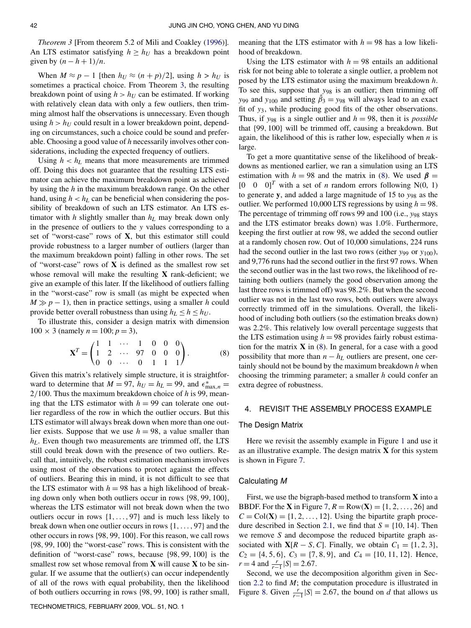<span id="page-8-0"></span>*Theorem 3* [From theorem 5.2 of Mili and Coakley [\(1996\)](#page-12-0)]*.* An LTS estimator satisfying  $h \geq h_U$  has a breakdown point given by  $(n - h + 1)/n$ .

When  $M \approx p - 1$  [then  $h_U \approx (n + p)/2$ ], using  $h > h_U$  is sometimes a practical choice. From Theorem 3, the resulting breakdown point of using  $h > h_U$  can be estimated. If working with relatively clean data with only a few outliers, then trimming almost half the observations is unnecessary. Even though using  $h > h_U$  could result in a lower breakdown point, depending on circumstances, such a choice could be sound and preferable. Choosing a good value of *h* necessarily involves other considerations, including the expected frequency of outliers.

Using  $h < h_L$  means that more measurements are trimmed off. Doing this does not guarantee that the resulting LTS estimator can achieve the maximum breakdown point as achieved by using the *h* in the maximum breakdown range. On the other hand, using  $h < h<sub>L</sub>$  can be beneficial when considering the possibility of breakdown of such an LTS estimator. An LTS estimator with *h* slightly smaller than  $h<sub>L</sub>$  may break down only in the presence of outliers to the *y* values corresponding to a set of "worst-case" rows of **X**, but this estimator still could provide robustness to a larger number of outliers (larger than the maximum breakdown point) falling in other rows. The set of "worst-case" rows of **X** is defined as the smallest row set whose removal will make the resulting **X** rank-deficient; we give an example of this later. If the likelihood of outliers falling in the "worst-case" row is small (as might be expected when  $M \gg p - 1$ , then in practice settings, using a smaller *h* could provide better overall robustness than using  $h_L \leq h \leq h_U$ .

To illustrate this, consider a design matrix with dimension  $100 \times 3$  (namely  $n = 100; p = 3$ ),

$$
\mathbf{X}^T = \begin{pmatrix} 1 & 1 & \cdots & 1 & 0 & 0 & 0 \\ 1 & 2 & \cdots & 97 & 0 & 0 & 0 \\ 0 & 0 & \cdots & 0 & 1 & 1 & 1 \end{pmatrix} . \tag{8}
$$

Given this matrix's relatively simple structure, it is straightforward to determine that  $M = 97$ ,  $h_U = h_L = 99$ , and  $\epsilon_{\text{max},n}^* =$ 2*/*100. Thus the maximum breakdown choice of *h* is 99, meaning that the LTS estimator with  $h = 99$  can tolerate one outlier regardless of the row in which the outlier occurs. But this LTS estimator will always break down when more than one outlier exists. Suppose that we use  $h = 98$ , a value smaller than *hL*. Even though two measurements are trimmed off, the LTS still could break down with the presence of two outliers. Recall that, intuitively, the robust estimation mechanism involves using most of the observations to protect against the effects of outliers. Bearing this in mind, it is not difficult to see that the LTS estimator with  $h = 98$  has a high likelihood of breaking down only when both outliers occur in rows {98*,* 99*,* 100}, whereas the LTS estimator will not break down when the two outliers occur in rows {1*,...,* 97} and is much less likely to break down when one outlier occurs in rows {1*,...,* 97} and the other occurs in rows {98*,* 99*,* 100}. For this reason, we call rows {98*,* 99*,* 100} the "worst-case" rows. This is consistent with the definition of "worst-case" rows, because {98*,* 99*,* 100} is the smallest row set whose removal from **X** will cause **X** to be singular. If we assume that the outlier(s) can occur independently of all of the rows with equal probability, then the likelihood of both outliers occurring in rows {98*,* 99*,* 100} is rather small,

TECHNOMETRICS, FEBRUARY 2009, VOL. 51, NO. 1

meaning that the LTS estimator with  $h = 98$  has a low likelihood of breakdown.

Using the LTS estimator with  $h = 98$  entails an additional risk for not being able to tolerate a single outlier, a problem not posed by the LTS estimator using the maximum breakdown *h*. To see this, suppose that *y*<sup>98</sup> is an outlier; then trimming off *y*<sub>99</sub> and *y*<sub>100</sub> and setting  $\hat{\beta}_3 = y_{98}$  will always lead to an exact fit of *y*3, while producing good fits of the other observations. Thus, if  $y_{98}$  is a single outlier and  $h = 98$ , then it is *possible* that {99*,* 100} will be trimmed off, causing a breakdown. But again, the likelihood of this is rather low, especially when *n* is large.

To get a more quantitative sense of the likelihood of breakdowns as mentioned earlier, we ran a simulation using an LTS estimation with  $h = 98$  and the matrix in (8). We used  $\beta =$  $[0 \ 0 \ 0]$ <sup>T</sup> with a set of *n* random errors following N(0, 1) to generate **y**, and added a large magnitude of 15 to *y*<sup>98</sup> as the outlier. We performed 10,000 LTS regressions by using  $h = 98$ . The percentage of trimming off rows 99 and 100 (i.e., *y*<sup>98</sup> stays and the LTS estimator breaks down) was 1.0%. Furthermore, keeping the first outlier at row 98, we added the second outlier at a randomly chosen row. Out of 10,000 simulations, 224 runs had the second outlier in the last two rows (either *y*<sub>99</sub> or *y*<sub>100</sub>), and 9,776 runs had the second outlier in the first 97 rows. When the second outlier was in the last two rows, the likelihood of retaining both outliers (namely the good observation among the last three rows is trimmed off) was 98*.*2%. But when the second outlier was not in the last two rows, both outliers were always correctly trimmed off in the simulations. Overall, the likelihood of including both outliers (so the estimation breaks down) was 2.2%. This relatively low overall percentage suggests that the LTS estimation using  $h = 98$  provides fairly robust estimation for the matrix **X** in (8). In general, for a case with a good possibility that more than  $n - h<sub>L</sub>$  outliers are present, one certainly should not be bound by the maximum breakdown *h* when choosing the trimming parameter; a smaller *h* could confer an extra degree of robustness.

#### 4. REVISIT THE ASSEMBLY PROCESS EXAMPLE

#### The Design Matrix

Here we revisit the assembly example in Figure [1](#page-1-0) and use it as an illustrative example. The design matrix **X** for this system is shown in Figure [7.](#page-9-0)

#### Calculating M

First, we use the bigraph-based method to transform **X** into a **BBDF.** For the **X** in Figure [7,](#page-9-0)  $R = Row(X) = \{1, 2, ..., 26\}$  and  $C = \text{Col}(\mathbf{X}) = \{1, 2, \ldots, 12\}$ . Using the bipartite graph proce-dure described in Section [2.1,](#page-3-0) we find that  $S = \{10, 14\}$ . Then we remove *S* and decompose the reduced bipartite graph associated with **X**[ $R - S$ ,  $C$ ]. Finally, we obtain  $C_1 = \{1, 2, 3\}$ ,  $C_2 = \{4, 5, 6\}, C_3 = \{7, 8, 9\}, \text{ and } C_4 = \{10, 11, 12\}. \text{ Hence,}$  $r = 4$  and  $\frac{r}{r-1} |S| = 2.67$ .

Second, we use the decomposition algorithm given in Section [2.2](#page-5-0) to find *M*; the computation procedure is illustrated in Figure [8.](#page-9-0) Given  $\frac{r}{r-1}$  |*S*| = 2.67, the bound on *d* that allows us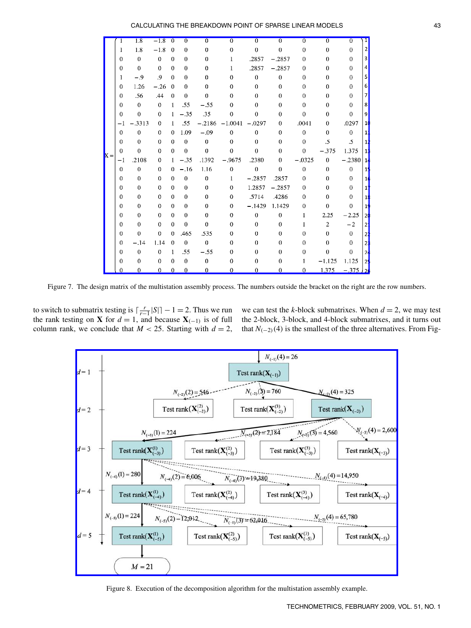<span id="page-9-0"></span>

|       |              | 1.8          | $-1.8$       | $\Omega$     | 0        | 0            | $\Omega$         | 0              | 0                | $\Omega$       | 0                | 0                     |                |
|-------|--------------|--------------|--------------|--------------|----------|--------------|------------------|----------------|------------------|----------------|------------------|-----------------------|----------------|
|       | 1            | 1.8          | $-1.8$       | $\theta$     | $\theta$ | $\mathbf{0}$ | $\mathbf 0$      | $\overline{0}$ | $\overline{0}$   | $\overline{0}$ | $\overline{0}$   | 0                     | 2              |
|       | $\Omega$     | $\theta$     | $\Omega$     | $\Omega$     | $\theta$ | $\theta$     | 1                | .2857          | $-.2857$         | $\theta$       | $\theta$         | $\theta$              | 3              |
|       | $\Omega$     | $\theta$     | $\theta$     | $\Omega$     | $\Omega$ | $\mathbf{0}$ | 1                | .2857          | $-.2857$         | $\Omega$       | $\theta$         | $\bf{0}$              | 4              |
|       | 1            | $-.9$        | .9           | $\Omega$     | $\theta$ | $\bf{0}$     | $\mathbf 0$      | $\theta$       | $\overline{0}$   | $\theta$       | $\theta$         | 0                     | 5              |
|       | $\Omega$     | 1.26         | $-.26$       | $\Omega$     | $\Omega$ | $\theta$     | 0                | $\theta$       | $\overline{0}$   | $\theta$       | $\mathbf{0}$     | $\boldsymbol{0}$      | 6              |
|       | $\Omega$     | .56          | .44          | $\Omega$     | $\bf{0}$ | $\theta$     | $\theta$         | $\overline{0}$ | $\overline{0}$   | $\bf{0}$       | $\overline{0}$   | $\bf{0}$              | 7              |
|       | $\theta$     | $\mathbf{0}$ | $\mathbf{0}$ | $\mathbf{I}$ | .55      | $-.55$       | $\theta$         | 0              | $\bf{0}$         | $\Omega$       | $\mathbf{0}$     | 0                     | 8              |
|       | $\theta$     | $\mathbf{0}$ | $\mathbf 0$  | -1           | $-.35$   | .35          | $\mathbf 0$      | $\mathbf{0}$   | $\bf{0}$         | $\theta$       | $\theta$         | $\mathbf 0$           | 9              |
|       | $-1$         | $-.3313$     | $\Omega$     | $\mathbf{I}$ | .55      | $-.2186$     | $-1.0041$        | $-.0297$       | $\overline{0}$   | .0041          | $\theta$         | .0297                 | 1              |
|       | $\Omega$     | $\theta$     | $\theta$     | $\Omega$     | 1.09     | $-.09$       | $\Omega$         | $\theta$       | $\theta$         | $\theta$       | $\theta$         | $\theta$              | 1              |
|       | $\Omega$     | $\theta$     | $\theta$     | $\Omega$     | $\theta$ | $\theta$     | $\Omega$         | $\Omega$       | $\bf{0}$         | $\theta$       | $\cdot$ 5        | .5                    | 1              |
| $X =$ | $\theta$     | $\theta$     | $\theta$     | $\Omega$     | $\theta$ | $\theta$     | $\theta$         | $\theta$       | $\bf{0}$         | $\theta$       | $-.375$          | 1.375                 | 1              |
|       | -1           | .2108        | $\mathbf{0}$ | $\mathbf{I}$ | $-.35$   | .1392        | $-.9675$         | .2380          | $\overline{0}$   | $-.0325$       | $\boldsymbol{0}$ | $-.2380$              | $\mathbf{1}$   |
|       | $\mathbf{0}$ | $\bf{0}$     | $\Omega$     | 0            | $-.16$   | 1.16         | $\boldsymbol{0}$ | $\bf{0}$       | $\bf{0}$         | $\bf{0}$       | $\overline{0}$   | $\overline{0}$        | $\mathbf{1}$   |
|       | $\Omega$     | $\theta$     | $\Omega$     | $\Omega$     | $\theta$ | $\bf{0}$     | $\mathbf{1}$     | $-.2857$       | .2857            | $\theta$       | $\theta$         | $\Omega$              | 1              |
|       | $\theta$     | $\theta$     | $\Omega$     | $\theta$     | $\theta$ | $\theta$     | $\theta$         | 1.2857         | $-.2857$         | $\theta$       | $\theta$         | $\theta$              | 1              |
|       | 0            | $\theta$     | $\mathbf{0}$ | $\theta$     | $\theta$ | $\mathbf{0}$ | $\Omega$         | .5714          | .4286            | $\theta$       | 0                | 0                     | 1              |
|       | $\Omega$     | $\theta$     | $\theta$     | $\Omega$     | $\theta$ | $\theta$     | $\theta$         | $-.1429$       | 1.1429           | $\theta$       | $\overline{0}$   | $\theta$              | $\mathbf{1}$   |
|       | $\theta$     | $\mathbf{0}$ | $\theta$     | $\Omega$     | $\theta$ | $\bf{0}$     | $\theta$         | $\overline{0}$ | $\boldsymbol{0}$ | 1              | 2.25             | $-2.25$               | 2              |
|       | $\mathbf{0}$ | $\theta$     | $\mathbf 0$  | $\Omega$     | $\theta$ | $\theta$     | $\theta$         | $\mathbf{0}$   | $\boldsymbol{0}$ | 1              | $\overline{c}$   | $-2$                  | 2              |
|       | $\Omega$     | $\theta$     | $\Omega$     | 0            | .465     | .535         | $\Omega$         | $\bf{0}$       | $\bf{0}$         | 0              | $\theta$         | $\theta$              | 2              |
|       | $\Omega$     | $-.14$       | 1.14         | $\theta$     | $\theta$ | $\theta$     | $\Omega$         | $\theta$       | 0                | 0              | $\theta$         | $\theta$              | 2              |
|       | $\theta$     | $\theta$     | $\theta$     | $\mathbf{1}$ | .55      | $-.55$       | $\theta$         | $\theta$       | $\theta$         | $\bf{0}$       | $\theta$         | $\theta$              | 2              |
|       | $\Omega$     | 0            | $\theta$     | $\Omega$     | $\theta$ | $\mathbf{0}$ | 0                | 0              | 0                |                | $-1.125$         | 1.125                 | $\overline{a}$ |
|       | 0            | $\Omega$     | $\theta$     | $\theta$     | $\theta$ | $\mathbf{0}$ | 0                | $\theta$       | $\bf{0}$         | $\Omega$       | 1.375            | $-.375$ $\frac{1}{2}$ |                |

Figure 7. The design matrix of the multistation assembly process. The numbers outside the bracket on the right are the row numbers.

to switch to submatrix testing is  $\lceil \frac{r}{r-1} |S| \rceil - 1 = 2$ . Thus we run the rank testing on **X** for  $d = 1$ , and because **X**<sub>(-1)</sub> is of full column rank, we conclude that  $M < 25$ . Starting with  $d = 2$ ,

we can test the *k*-block submatrixes. When  $d = 2$ , we may test the 2-block, 3-block, and 4-block submatrixes, and it turns out that  $N_{(-2)}(4)$  is the smallest of the three alternatives. From Fig-



Figure 8. Execution of the decomposition algorithm for the multistation assembly example.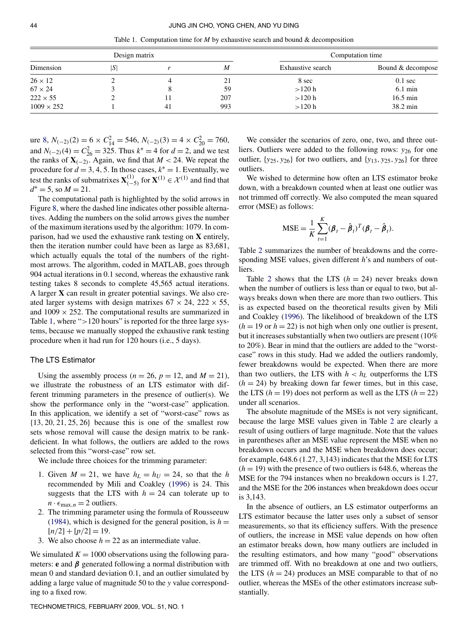Table 1. Computation time for *M* by exhaustive search and bound & decomposition

|                   | Design matrix |    |     | Computation time  |                    |  |
|-------------------|---------------|----|-----|-------------------|--------------------|--|
| Dimension         | S             |    | M   | Exhaustive search | Bound & decompose  |  |
| $26 \times 12$    |               |    | 21  | 8 sec             | $0.1 \text{ sec}$  |  |
| $67 \times 24$    |               |    | 59  | >120 h            | $6.1 \text{ min}$  |  |
| $222 \times 55$   |               |    | 207 | >120 h            | $16.5 \text{ min}$ |  |
| $1009 \times 252$ |               | 41 | 993 | >120 h            | 38.2 min           |  |

ure [8,](#page-9-0)  $N_{(-2)}(2) = 6 \times C_{14}^2 = 546$ ,  $N_{(-2)}(3) = 4 \times C_{20}^2 = 760$ , and  $N_{(-2)}(4) = C_{26}^2 = 325$ . Thus  $k^* = 4$  for  $d = 2$ , and we test the ranks of  $X_{(-2)}$ . Again, we find that  $M < 24$ . We repeat the procedure for  $d = 3, 4, 5$ . In those cases,  $k^* = 1$ . Eventually, we test the ranks of submatrixes  $\mathbf{X}^{(1)}_{(-5)}$  for  $\mathbf{X}^{(1)} \in \mathcal{X}^{(1)}$  and find that  $d^* = 5$ , so  $M = 21$ .

The computational path is highlighted by the solid arrows in Figure [8,](#page-9-0) where the dashed line indicates other possible alternatives. Adding the numbers on the solid arrows gives the number of the maximum iterations used by the algorithm: 1079. In comparison, had we used the exhaustive rank testing on **X** entirely, then the iteration number could have been as large as 83,681, which actually equals the total of the numbers of the rightmost arrows. The algorithm, coded in MATLAB, goes through 904 actual iterations in 0.1 second, whereas the exhaustive rank testing takes 8 seconds to complete 45,565 actual iterations. A larger **X** can result in greater potential savings. We also created larger systems with design matrixes  $67 \times 24$ ,  $222 \times 55$ , and  $1009 \times 252$ . The computational results are summarized in Table 1, where "*>*120 hours" is reported for the three large systems, because we manually stopped the exhaustive rank testing procedure when it had run for 120 hours (i.e., 5 days).

## The LTS Estimator

Using the assembly process ( $n = 26$ ,  $p = 12$ , and  $M = 21$ ), we illustrate the robustness of an LTS estimator with different trimming parameters in the presence of outlier(s). We show the performance only in the "worst-case" application. In this application, we identify a set of "worst-case" rows as {13*,* 20*,* 21*,* 25*,* 26} because this is one of the smallest row sets whose removal will cause the design matrix to be rankdeficient. In what follows, the outliers are added to the rows selected from this "worst-case" row set.

We include three choices for the trimming parameter:

- 1. Given  $M = 21$ , we have  $h_L = h_U = 24$ , so that the *h* recommended by Mili and Coakley [\(1996\)](#page-12-0) is 24. This suggests that the LTS with  $h = 24$  can tolerate up to  $n \cdot \epsilon_{\max,n} = 2$  outliers.
- 2. The trimming parameter using the formula of Rousseeuw [\(1984\)](#page-12-0), which is designed for the general position, is  $h =$  $[n/2]+[p/2]=19.$
- 3. We also choose  $h = 22$  as an intermediate value.

We simulated  $K = 1000$  observations using the following parameters: **e** and *β* generated following a normal distribution with mean 0 and standard deviation 0.1, and an outlier simulated by adding a large value of magnitude 50 to the *y* value corresponding to a fixed row.

We consider the scenarios of zero, one, two, and three outliers. Outliers were added to the following rows: *y*<sub>26</sub> for one outlier,  $\{y_{25}, y_{26}\}$  for two outliers, and  $\{y_{13}, y_{25}, y_{26}\}$  for three outliers.

We wished to determine how often an LTS estimator broke down, with a breakdown counted when at least one outlier was not trimmed off correctly. We also computed the mean squared error (MSE) as follows:

$$
MSE = \frac{1}{K} \sum_{t=1}^{K} (\boldsymbol{\beta}_t - \hat{\boldsymbol{\beta}}_t)^T (\boldsymbol{\beta}_t - \hat{\boldsymbol{\beta}}_t).
$$

Table [2](#page-11-0) summarizes the number of breakdowns and the corresponding MSE values, given different *h*'s and numbers of outliers.

Table [2](#page-11-0) shows that the LTS  $(h = 24)$  never breaks down when the number of outliers is less than or equal to two, but always breaks down when there are more than two outliers. This is as expected based on the theoretical results given by Mili and Coakley [\(1996\)](#page-12-0). The likelihood of breakdown of the LTS  $(h = 19 \text{ or } h = 22)$  is not high when only one outlier is present, but it increases substantially when two outliers are present (10% to 20%). Bear in mind that the outliers are added to the "worstcase" rows in this study. Had we added the outliers randomly, fewer breakdowns would be expected. When there are more than two outliers, the LTS with  $h < h<sub>L</sub>$  outperforms the LTS  $(h = 24)$  by breaking down far fewer times, but in this case, the LTS  $(h = 19)$  does not perform as well as the LTS  $(h = 22)$ under all scenarios.

The absolute magnitude of the MSEs is not very significant, because the large MSE values given in Table [2](#page-11-0) are clearly a result of using outliers of large magnitude. Note that the values in parentheses after an MSE value represent the MSE when no breakdown occurs and the MSE when breakdown does occur; for example, 648.6 (1.27, 3,143) indicates that the MSE for LTS  $(h = 19)$  with the presence of two outliers is 648.6, whereas the MSE for the 794 instances when no breakdown occurs is 1.27, and the MSE for the 206 instances when breakdown does occur is 3,143.

In the absence of outliers, an LS estimator outperforms an LTS estimator because the latter uses only a subset of sensor measurements, so that its efficiency suffers. With the presence of outliers, the increase in MSE value depends on how often an estimator breaks down, how many outliers are included in the resulting estimators, and how many "good" observations are trimmed off. With no breakdown at one and two outliers, the LTS  $(h = 24)$  produces an MSE comparable to that of no outlier, whereas the MSEs of the other estimators increase substantially.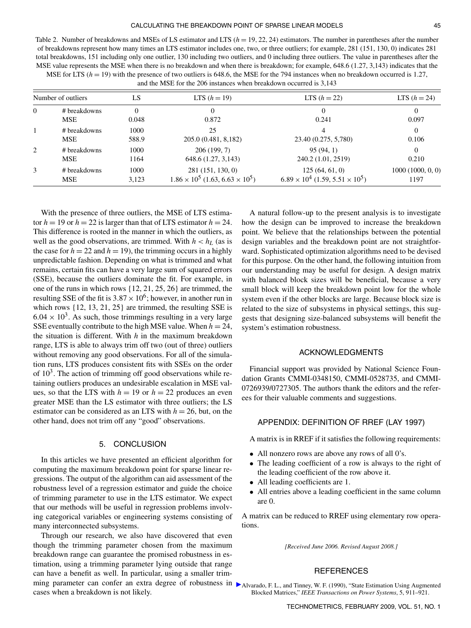<span id="page-11-0"></span>MSE for LTS  $(h = 19)$  with the presence of two outliers is 648.6, the MSE for the 794 instances when no breakdown occurred is 1.27, and the MSE for the 206 instances when breakdown occurred is 3,143

| Number of outliers |                            | LS            | <b>LTS</b> $(h = 19)$                                               | LTS $(h = 22)$                                                   | <b>LTS</b> $(h = 24)$    |  |
|--------------------|----------------------------|---------------|---------------------------------------------------------------------|------------------------------------------------------------------|--------------------------|--|
| $\mathbf{0}$       | # breakdowns<br><b>MSE</b> | 0<br>0.048    | 0.872                                                               | 0<br>0.241                                                       | 0<br>0.097               |  |
| $\mathbf{1}$       | # breakdowns<br><b>MSE</b> | 1000<br>588.9 | 25<br>205.0 (0.481, 8,182)                                          | 23.40 (0.275, 5,780)                                             | $\Omega$<br>0.106        |  |
| 2                  | # breakdowns<br><b>MSE</b> | 1000<br>1164  | 206(199, 7)<br>648.6 (1.27, 3,143)                                  | 95(94, 1)<br>240.2 (1.01, 2519)                                  | $\Omega$<br>0.210        |  |
| 3                  | # breakdowns<br><b>MSE</b> | 1000<br>3,123 | 281 (151, 130, 0)<br>$1.86 \times 10^5$ (1.63, 6.63 $\times 10^5$ ) | 125(64, 61, 0)<br>$6.89 \times 10^4$ (1.59, 5.51 $\times 10^5$ ) | 1000(1000, 0, 0)<br>1197 |  |

With the presence of three outliers, the MSE of LTS estimator  $h = 19$  or  $h = 22$  is larger than that of LTS estimator  $h = 24$ . This difference is rooted in the manner in which the outliers, as well as the good observations, are trimmed. With  $h < h<sub>L</sub>$  (as is the case for  $h = 22$  and  $h = 19$ ), the trimming occurs in a highly unpredictable fashion. Depending on what is trimmed and what remains, certain fits can have a very large sum of squared errors (SSE), because the outliers dominate the fit. For example, in one of the runs in which rows {12, 21, 25, 26} are trimmed, the resulting SSE of the fit is  $3.87 \times 10^6$ ; however, in another run in which rows {12, 13, 21, 25} are trimmed, the resulting SSE is  $6.04 \times 10^3$ . As such, those trimmings resulting in a very large SSE eventually contribute to the high MSE value. When  $h = 24$ , the situation is different. With *h* in the maximum breakdown range, LTS is able to always trim off two (out of three) outliers without removing any good observations. For all of the simulation runs, LTS produces consistent fits with SSEs on the order of  $10<sup>3</sup>$ . The action of trimming off good observations while retaining outliers produces an undesirable escalation in MSE values, so that the LTS with  $h = 19$  or  $h = 22$  produces an even greater MSE than the LS estimator with three outliers; the LS estimator can be considered as an LTS with  $h = 26$ , but, on the other hand, does not trim off any "good" observations.

## 5. CONCLUSION

In this articles we have presented an efficient algorithm for computing the maximum breakdown point for sparse linear regressions. The output of the algorithm can aid assessment of the robustness level of a regression estimator and guide the choice of trimming parameter to use in the LTS estimator. We expect that our methods will be useful in regression problems involving categorical variables or engineering systems consisting of many interconnected subsystems.

Through our research, we also have discovered that even though the trimming parameter chosen from the maximum breakdown range can guarantee the promised robustness in estimation, using a trimming parameter lying outside that range can have a benefit as well. In particular, using a smaller trimming parameter can confer an extra degree of robustness in cases when a breakdown is not likely.

A natural follow-up to the present analysis is to investigate how the design can be improved to increase the breakdown point. We believe that the relationships between the potential design variables and the breakdown point are not straightforward. Sophisticated optimization algorithms need to be devised for this purpose. On the other hand, the following intuition from our understanding may be useful for design. A design matrix with balanced block sizes will be beneficial, because a very small block will keep the breakdown point low for the whole system even if the other blocks are large. Because block size is related to the size of subsystems in physical settings, this suggests that designing size-balanced subsystems will benefit the system's estimation robustness.

## ACKNOWLEDGMENTS

Financial support was provided by National Science Foundation Grants CMMI-0348150, CMMI-0528735, and CMMI-0726939/0727305. The authors thank the editors and the referees for their valuable comments and suggestions.

## APPENDIX: DEFINITION OF RREF (LAY 1997)

A matrix is in RREF if it satisfies the following requirements:

- All nonzero rows are above any rows of all 0's.
- The leading coefficient of a row is always to the right of the leading coefficient of the row above it.
- All leading coefficients are 1.
- All entries above a leading coefficient in the same column are 0.

A matrix can be reduced to RREF using elementary row operations.

*[Received June 2006. Revised August 2008.]*

## REFERENCES

Alvarado, F. L., and Tinney, W. F. (1990), "State Estimation Using Augmented Blocked Matrices," *IEEE Transactions on Power Systems*, 5, 911–921.